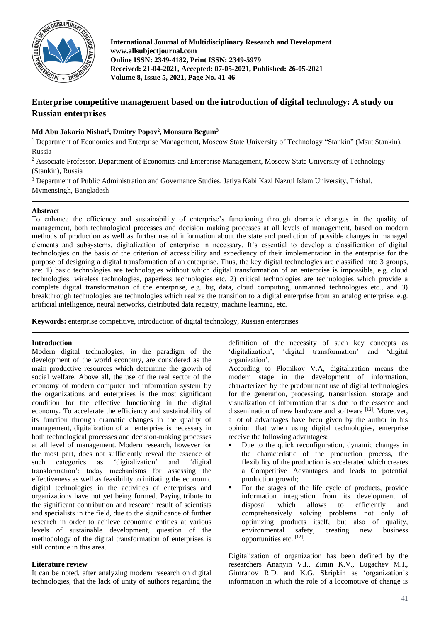

**International Journal of Multidisciplinary Research and Development www.allsubjectjournal.com Online ISSN: 2349-4182, Print ISSN: 2349-5979 Received: 21-04-2021, Accepted: 07-05-2021, Published: 26-05-2021 Volume 8, Issue 5, 2021, Page No. 41-46**

# **Enterprise competitive management based on the introduction of digital technology: A study on Russian enterprises**

# **Md Abu Jakaria Nishat<sup>1</sup> , Dmitry Popov<sup>2</sup> , Monsura Begum<sup>3</sup>**

<sup>1</sup> Department of Economics and Enterprise Management, Moscow State University of Technology "Stankin" (Msut Stankin), Russia

<sup>2</sup> Associate Professor, Department of Economics and Enterprise Management, Moscow State University of Technology (Stankin), Russia

<sup>3</sup> Department of Public Administration and Governance Studies, Jatiya Kabi Kazi Nazrul Islam University, Trishal,

Mymensingh, Bangladesh

## **Abstract**

To enhance the efficiency and sustainability of enterprise's functioning through dramatic changes in the quality of management, both technological processes and decision making processes at all levels of management, based on modern methods of production as well as further use of information about the state and prediction of possible changes in managed elements and subsystems, digitalization of enterprise in necessary. It's essential to develop a classification of digital technologies on the basis of the criterion of accessibility and expediency of their implementation in the enterprise for the purpose of designing a digital transformation of an enterprise. Thus, the key digital technologies are classified into 3 groups, are: 1) basic technologies are technologies without which digital transformation of an enterprise is impossible, e.g. cloud technologies, wireless technologies, paperless technologies etc. 2) critical technologies are technologies which provide a complete digital transformation of the enterprise, e.g. big data, cloud computing, unmanned technologies etc., and 3) breakthrough technologies are technologies which realize the transition to a digital enterprise from an analog enterprise, e.g. artificial intelligence, neural networks, distributed data registry, machine learning, etc.

**Keywords:** enterprise competitive, introduction of digital technology, Russian enterprises

# **Introduction**

Modern digital technologies, in the paradigm of the development of the world economy, are considered as the main productive resources which determine the growth of social welfare. Above all, the use of the real sector of the economy of modern computer and information system by the organizations and enterprises is the most significant condition for the effective functioning in the digital economy. To accelerate the efficiency and sustainability of its function through dramatic changes in the quality of management, digitalization of an enterprise is necessary in both technological processes and decision-making processes at all level of management. Modern research, however for the most part, does not sufficiently reveal the essence of such categories as 'digitalization' and 'digital transformation'; today mechanisms for assessing the effectiveness as well as feasibility to initiating the economic digital technologies in the activities of enterprises and organizations have not yet being formed. Paying tribute to the significant contribution and research result of scientists and specialists in the field, due to the significance of further research in order to achieve economic entities at various levels of sustainable development, question of the methodology of the digital transformation of enterprises is still continue in this area.

# **Literature review**

It can be noted, after analyzing modern research on digital technologies, that the lack of unity of authors regarding the definition of the necessity of such key concepts as 'digitalization', 'digital transformation' and 'digital organization'.

According to Plotnikov V.A, digitalization means the modern stage in the development of information, characterized by the predominant use of digital technologies for the generation, processing, transmission, storage and visualization of information that is due to the essence and dissemination of new hardware and software [12]. Moreover, a lot of advantages have been given by the author in his opinion that when using digital technologies, enterprise receive the following advantages:

- Due to the quick reconfiguration, dynamic changes in the characteristic of the production process, the flexibility of the production is accelerated which creates a Competitive Advantages and leads to potential production growth;
- For the stages of the life cycle of products, provide information integration from its development of disposal which allows to efficiently and comprehensively solving problems not only of optimizing products itself, but also of quality, environmental safety, creating new opportunities etc. [12] .

Digitalization of organization has been defined by the researchers Ananyin V.I., Zimin K.V., Lugachev M.I., Gimranov R.D. and K.G. Skripkin as 'organization's information in which the role of a locomotive of change is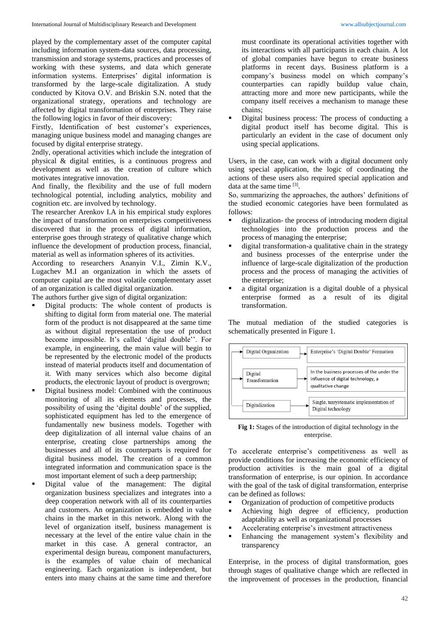played by the complementary asset of the computer capital including information system-data sources, data processing, transmission and storage systems, practices and processes of working with these systems, and data which generate information systems. Enterprises' digital information is transformed by the large-scale digitalization. A study conducted by Kitova O.V. and Briskin S.N. noted that the organizational strategy, operations and technology are affected by digital transformation of enterprises. They raise the following logics in favor of their discovery:

Firstly, Identification of best customer's experiences, managing unique business model and managing changes are focused by digital enterprise strategy.

2ndly, operational activities which include the integration of physical & digital entities, is a continuous progress and development as well as the creation of culture which motivates integrative innovation.

And finally, the flexibility and the use of full modern technological potential, including analytics, mobility and cognition etc. are involved by technology.

The researcher Arenkov I.A in his empirical study explores the impact of transformation on enterprises competitiveness discovered that in the process of digital information, enterprise goes through strategy of qualitative change which influence the development of production process, financial, material as well as information spheres of its activities.

According to researchers Ananyin V.I., Zimin K.V., Lugachev M.I an organization in which the assets of computer capital are the most volatile complementary asset of an organization is called digital organization.

The authors further give sign of digital organization:

- Digital products: The whole content of products is shifting to digital form from material one. The material form of the product is not disappeared at the same time as without digital representation the use of product become impossible. It's called 'digital double''. For example, in engineering, the main value will begin to be represented by the electronic model of the products instead of material products itself and documentation of it. With many services which also become digital products, the electronic layout of product is overgrown;
- Digital business model: Combined with the continuous monitoring of all its elements and processes, the possibility of using the 'digital double' of the supplied, sophisticated equipment has led to the emergence of fundamentally new business models. Together with deep digitalization of all internal value chains of an enterprise, creating close partnerships among the businesses and all of its counterparts is required for digital business model. The creation of a common integrated information and communication space is the most important element of such a deep partnership;
- Digital value of the management: The digital organization business specializes and integrates into a deep cooperation network with all of its counterparties and customers. An organization is embedded in value chains in the market in this network. Along with the level of organization itself, business management is necessary at the level of the entire value chain in the market in this case. A general contractor, an experimental design bureau, component manufacturers, is the examples of value chain of mechanical engineering. Each organization is independent, but enters into many chains at the same time and therefore

must coordinate its operational activities together with its interactions with all participants in each chain. A lot of global companies have begun to create business platforms in recent days. Business platform is a company's business model on which company's counterparties can rapidly buildup value chain, attracting more and more new participants, while the company itself receives a mechanism to manage these chains;

Digital business process: The process of conducting a digital product itself has become digital. This is particularly an evident in the case of document only using special applications.

Users, in the case, can work with a digital document only using special application, the logic of coordinating the actions of these users also required special application and data at the same time [3].

So, summarizing the approaches, the authors' definitions of the studied economic categories have been formulated as follows:

- digitalization- the process of introducing modern digital technologies into the production process and the process of managing the enterprise;
- digital transformation-a qualitative chain in the strategy and business processes of the enterprise under the influence of large-scale digitalization of the production process and the process of managing the activities of the enterprise;
- a digital organization is a digital double of a physical enterprise formed as a result of its digital transformation.

The mutual mediation of the studied categories is schematically presented in Figure 1.



**Fig 1:** Stages of the introduction of digital technology in the enterprise.

To accelerate enterprise's competitiveness as well as provide conditions for increasing the economic efficiency of production activities is the main goal of a digital transformation of enterprise, is our opinion. In accordance with the goal of the task of digital transformation, enterprise can be defined as follows:

- Organization of production of competitive products
- Achieving high degree of efficiency, production adaptability as well as organizational processes
- Accelerating enterprise's investment attractiveness
- Enhancing the management system's flexibility and transparency

Enterprise, in the process of digital transformation, goes through stages of qualitative change which are reflected in the improvement of processes in the production, financial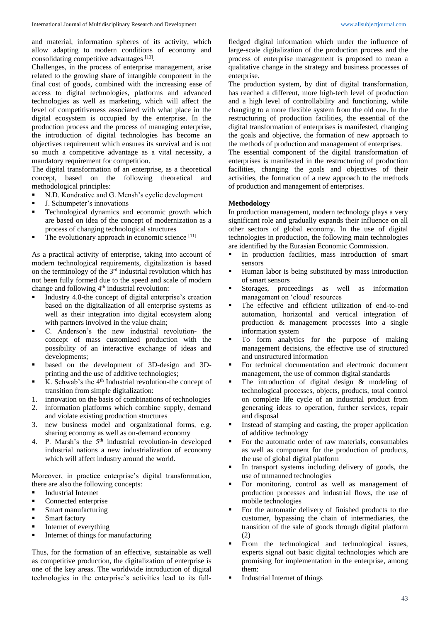and material, information spheres of its activity, which allow adapting to modern conditions of economy and consolidating competitive advantages [13].

Challenges, in the process of enterprise management, arise related to the growing share of intangible component in the final cost of goods, combined with the increasing ease of access to digital technologies, platforms and advanced technologies as well as marketing, which will affect the level of competitiveness associated with what place in the digital ecosystem is occupied by the enterprise. In the production process and the process of managing enterprise, the introduction of digital technologies has become an objectives requirement which ensures its survival and is not so much a competitive advantage as a vital necessity, a mandatory requirement for competition.

The digital transformation of an enterprise, as a theoretical concept, based on the following theoretical and methodological principles:

- N.D. Kondrative and G. Mensh's cyclic development
- J. Schumpeter's innovations
- **•** Technological dynamics and economic growth which are based on idea of the concept of modernization as a process of changing technological structures
- The evolutionary approach in economic science  $[11]$

As a practical activity of enterprise, taking into account of modern technological requirements, digitalization is based on the terminology of the  $3<sup>rd</sup>$  industrial revolution which has not been fully formed due to the speed and scale of modern change and following  $4<sup>th</sup>$  industrial revolution:

- Industry 4.0-the concept of digital enterprise's creation based on the digitalization of all enterprise systems as well as their integration into digital ecosystem along with partners involved in the value chain;
- C. Anderson's the new industrial revolution- the concept of mass customized production with the possibility of an interactive exchange of ideas and developments;
- based on the development of 3D-design and 3Dprinting and the use of additive technologies;
- K. Schwab's the 4th Industrial revolution-the concept of transition from simple digitalization:
- 1. innovation on the basis of combinations of technologies
- 2. information platforms which combine supply, demand and violate existing production structures
- 3. new business model and organizational forms, e.g. sharing economy as well as on-demand economy
- 4. P. Marsh's the 5th industrial revolution-in developed industrial nations a new industrialization of economy which will affect industry around the world.

Moreover, in practice enterprise's digital transformation, there are also the following concepts:

- **•** Industrial Internet
- Connected enterprise
- Smart manufacturing
- **■** Smart factory
- **•** Internet of everything
- Internet of things for manufacturing

Thus, for the formation of an effective, sustainable as well as competitive production, the digitalization of enterprise is one of the key areas. The worldwide introduction of digital technologies in the enterprise's activities lead to its full-

fledged digital information which under the influence of large-scale digitalization of the production process and the process of enterprise management is proposed to mean a qualitative change in the strategy and business processes of enterprise.

The production system, by dint of digital transformation, has reached a different, more high-tech level of production and a high level of controllability and functioning, while changing to a more flexible system from the old one. In the restructuring of production facilities, the essential of the digital transformation of enterprises is manifested, changing the goals and objective, the formation of new approach to the methods of production and management of enterprises.

The essential component of the digital transformation of enterprises is manifested in the restructuring of production facilities, changing the goals and objectives of their activities, the formation of a new approach to the methods of production and management of enterprises.

# **Methodology**

In production management, modern technology plays a very significant role and gradually expands their influence on all other sectors of global economy. In the use of digital technologies in production, the following main technologies are identified by the Eurasian Economic Commission.

- In production facilities, mass introduction of smart sensors
- Human labor is being substituted by mass introduction of smart sensors
- Storages, proceedings as well as information management on 'cloud' resources
- The effective and efficient utilization of end-to-end automation, horizontal and vertical integration of production & management processes into a single information system
- To form analytics for the purpose of making management decisions, the effective use of structured and unstructured information
- For technical documentation and electronic document management, the use of common digital standards
- The introduction of digital design  $&$  modeling of technological processes, objects, products, total control on complete life cycle of an industrial product from generating ideas to operation, further services, repair and disposal
- Instead of stamping and casting, the proper application of additive technology
- For the automatic order of raw materials, consumables as well as component for the production of products, the use of global digital platform
- In transport systems including delivery of goods, the use of unmanned technologies
- For monitoring, control as well as management of production processes and industrial flows, the use of mobile technologies
- For the automatic delivery of finished products to the customer, bypassing the chain of intermediaries, the transition of the sale of goods through digital platform (2)
- From the technological and technological issues, experts signal out basic digital technologies which are promising for implementation in the enterprise, among them:
- Industrial Internet of things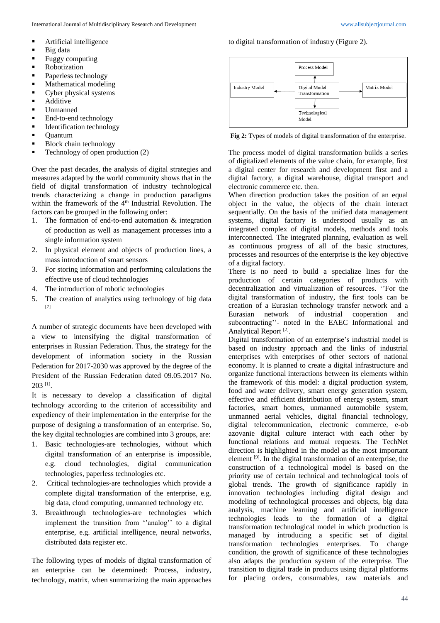- Artificial intelligence
- $\blacksquare$  Big data
- Fuggy computing
- Robotization
- Paperless technology
- Mathematical modeling
- Cyber physical systems
- Additive
- Unmanned
- End-to-end technology
- **•** Identification technology
- Quantum
- Block chain technology
- Technology of open production (2)

Over the past decades, the analysis of digital strategies and measures adapted by the world community shows that in the field of digital transformation of industry technological trends characterizing a change in production paradigms within the framework of the 4<sup>th</sup> Industrial Revolution. The factors can be grouped in the following order:

- 1. The formation of end-to-end automation & integration of production as well as management processes into a single information system
- 2. In physical element and objects of production lines, a mass introduction of smart sensors
- 3. For storing information and performing calculations the effective use of cloud technologies
- 4. The introduction of robotic technologies
- 5. The creation of analytics using technology of big data [7]

A number of strategic documents have been developed with a view to intensifying the digital transformation of enterprises in Russian Federation. Thus, the strategy for the development of information society in the Russian Federation for 2017-2030 was approved by the degree of the President of the Russian Federation dated 09.05.2017 No. 203 [1] .

It is necessary to develop a classification of digital technology according to the criterion of accessibility and expediency of their implementation in the enterprise for the purpose of designing a transformation of an enterprise. So, the key digital technologies are combined into 3 groups, are:

- 1. Basic technologies-are technologies, without which digital transformation of an enterprise is impossible, e.g. cloud technologies, digital communication technologies, paperless technologies etc.
- 2. Critical technologies-are technologies which provide a complete digital transformation of the enterprise, e.g. big data, cloud computing, unmanned technology etc.
- 3. Breakthrough technologies-are technologies which implement the transition from ''analog'' to a digital enterprise, e.g. artificial intelligence, neural networks, distributed data register etc.

The following types of models of digital transformation of an enterprise can be determined: Process, industry, technology, matrix, when summarizing the main approaches to digital transformation of industry (Figure 2).



**Fig 2:** Types of models of digital transformation of the enterprise.

The process model of digital transformation builds a series of digitalized elements of the value chain, for example, first a digital center for research and development first and a digital factory, a digital warehouse, digital transport and electronic commerce etc. then.

When direction production takes the position of an equal object in the value, the objects of the chain interact sequentially. On the basis of the unified data management systems, digital factory is understood usually as an integrated complex of digital models, methods and tools interconnected. The integrated planning, evaluation as well as continuous progress of all of the basic structures, processes and resources of the enterprise is the key objective of a digital factory.

There is no need to build a specialize lines for the production of certain categories of products with decentralization and virtualization of resources. ''For the digital transformation of industry, the first tools can be creation of a Eurasian technology transfer network and a Eurasian network of industrial cooperation and subcontracting''- noted in the EAEC Informational and Analytical Report<sup>[2]</sup>.

Digital transformation of an enterprise's industrial model is based on industry approach and the links of industrial enterprises with enterprises of other sectors of national economy. It is planned to create a digital infrastructure and organize functional interactions between its elements within the framework of this model: a digital production system, food and water delivery, smart energy generation system, effective and efficient distribution of energy system, smart factories, smart homes, unmanned automobile system, unmanned aerial vehicles, digital financial technology, digital telecommunication, electronic commerce, e-ob azovanie digital culture interact with each other by functional relations and mutual requests. The TechNet direction is highlighted in the model as the most important element  $[9]$ . In the digital transformation of an enterprise, the construction of a technological model is based on the priority use of certain technical and technological tools of global trends. The growth of significance rapidly in innovation technologies including digital design and modeling of technological processes and objects, big data analysis, machine learning and artificial intelligence technologies leads to the formation of a digital transformation technological model in which production is managed by introducing a specific set of digital transformation technologies enterprises. To change condition, the growth of significance of these technologies also adapts the production system of the enterprise. The transition to digital trade in products using digital platforms for placing orders, consumables, raw materials and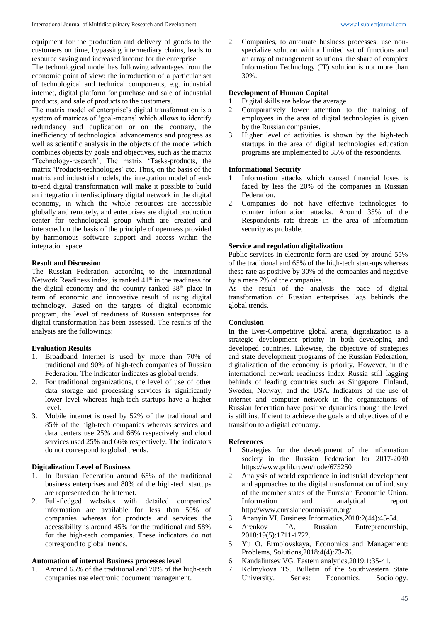equipment for the production and delivery of goods to the customers on time, bypassing intermediary chains, leads to resource saving and increased income for the enterprise.

The technological model has following advantages from the economic point of view: the introduction of a particular set of technological and technical components, e.g. industrial internet, digital platform for purchase and sale of industrial products, and sale of products to the customers.

The matrix model of enterprise's digital transformation is a system of matrices of 'goal-means' which allows to identify redundancy and duplication or on the contrary, the inefficiency of technological advancements and progress as well as scientific analysis in the objects of the model which combines objects by goals and objectives, such as the matrix 'Technology-research', The matrix 'Tasks-products, the matrix 'Products-technologies' etc. Thus, on the basis of the matrix and industrial models, the integration model of endto-end digital transformation will make it possible to build an integration interdisciplinary digital network in the digital economy, in which the whole resources are accessible globally and remotely, and enterprises are digital production center for technological group which are created and interacted on the basis of the principle of openness provided by harmonious software support and access within the integration space.

## **Result and Discussion**

The Russian Federation, according to the International Network Readiness index, is ranked  $41<sup>st</sup>$  in the readiness for the digital economy and the country ranked 38th place in term of economic and innovative result of using digital technology. Based on the targets of digital economic program, the level of readiness of Russian enterprises for digital transformation has been assessed. The results of the analysis are the followings:

#### **Evaluation Results**

- 1. Broadband Internet is used by more than 70% of traditional and 90% of high-tech companies of Russian Federation. The indicator indicates as global trends.
- 2. For traditional organizations, the level of use of other data storage and processing services is significantly lower level whereas high-tech startups have a higher level.
- 3. Mobile internet is used by 52% of the traditional and 85% of the high-tech companies whereas services and data centers use 25% and 66% respectively and cloud services used 25% and 66% respectively. The indicators do not correspond to global trends.

#### **Digitalization Level of Business**

- 1. In Russian Federation around 65% of the traditional business enterprises and 80% of the high-tech startups are represented on the internet.
- 2. Full-fledged websites with detailed companies' information are available for less than 50% of companies whereas for products and services the accessibility is around 45% for the traditional and 58% for the high-tech companies. These indicators do not correspond to global trends.

#### **Automation of internal Business processes level**

1. Around 65% of the traditional and 70% of the high-tech companies use electronic document management.

2. Companies, to automate business processes, use nonspecialize solution with a limited set of functions and an array of management solutions, the share of complex Information Technology (IT) solution is not more than 30%.

#### **Development of Human Capital**

- 1. Digital skills are below the average
- 2. Comparatively lower attention to the training of employees in the area of digital technologies is given by the Russian companies.
- 3. Higher level of activities is shown by the high-tech startups in the area of digital technologies education programs are implemented to 35% of the respondents.

#### **Informational Security**

- 1. Information attacks which caused financial loses is faced by less the 20% of the companies in Russian Federation.
- 2. Companies do not have effective technologies to counter information attacks. Around 35% of the Respondents rate threats in the area of information security as probable.

#### **Service and regulation digitalization**

Public services in electronic form are used by around 55% of the traditional and 65% of the high-tech start-ups whereas these rate as positive by 30% of the companies and negative by a mere 7% of the companies.

As the result of the analysis the pace of digital transformation of Russian enterprises lags behinds the global trends.

# **Conclusion**

In the Ever-Competitive global arena, digitalization is a strategic development priority in both developing and developed countries. Likewise, the objective of strategies and state development programs of the Russian Federation, digitalization of the economy is priority. However, in the international network readiness index Russia still lagging behinds of leading countries such as Singapore, Finland, Sweden, Norway, and the USA. Indicators of the use of internet and computer network in the organizations of Russian federation have positive dynamics though the level is still insufficient to achieve the goals and objectives of the transition to a digital economy.

#### **References**

- 1. Strategies for the development of the information society in the Russian Federation for 2017-2030 https://www.prlib.ru/en/node/675250
- 2. Analysis of world experience in industrial development and approaches to the digital transformation of industry of the member states of the Eurasian Economic Union. Information and analytical report http://www.eurasiancommission.org/
- 3. Ananyin VI. Business Informatics,2018:2(44):45-54.
- 1A. Russian Entrepreneurship, 2018:19(5):1711-1722.
- 5. Yu O. Ermolovskaya, Economics and Management: Problems, Solutions,2018:4(4):73-76.
- 6. Kandalintsev VG. Eastern analytics,2019:1:35-41.
- 7. Kolmykova TS. Bulletin of the Southwestern State University. Series: Economics. Sociology.